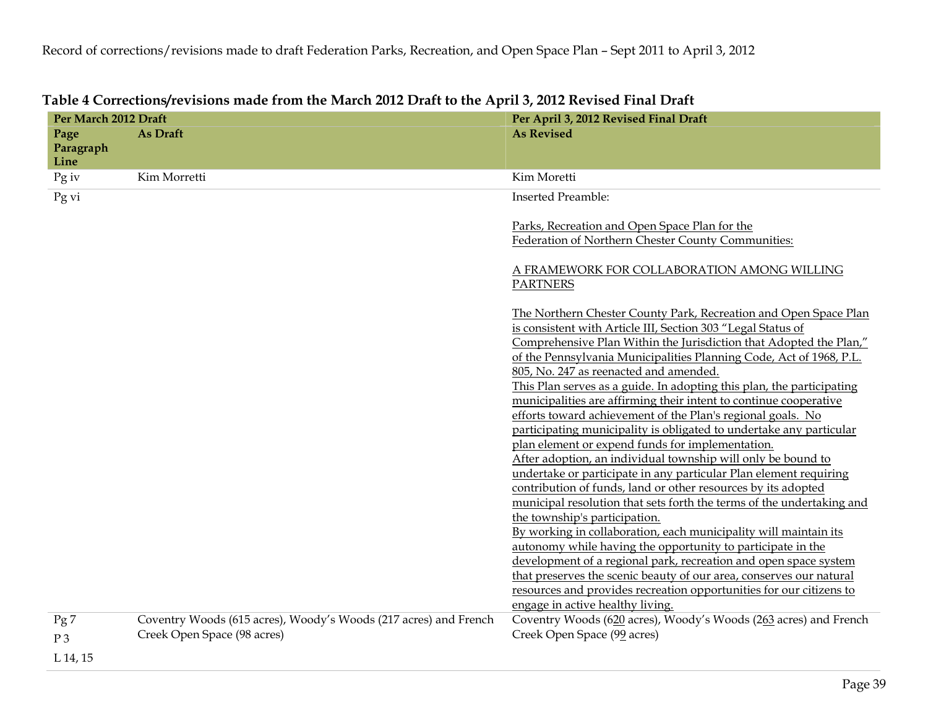| Per March 2012 Draft      |                                                                                                 | Per April 3, 2012 Revised Final Draft                                                                                                                                                                                                                                                                                                                                                                                                                                                                                                                                                                                                                                                                                                                                                                                                                                                                                                                                                                                                                                                                                                                                                                                                                                                                                                                                    |  |  |  |  |
|---------------------------|-------------------------------------------------------------------------------------------------|--------------------------------------------------------------------------------------------------------------------------------------------------------------------------------------------------------------------------------------------------------------------------------------------------------------------------------------------------------------------------------------------------------------------------------------------------------------------------------------------------------------------------------------------------------------------------------------------------------------------------------------------------------------------------------------------------------------------------------------------------------------------------------------------------------------------------------------------------------------------------------------------------------------------------------------------------------------------------------------------------------------------------------------------------------------------------------------------------------------------------------------------------------------------------------------------------------------------------------------------------------------------------------------------------------------------------------------------------------------------------|--|--|--|--|
| Page<br>Paragraph<br>Line | As Draft                                                                                        | <b>As Revised</b>                                                                                                                                                                                                                                                                                                                                                                                                                                                                                                                                                                                                                                                                                                                                                                                                                                                                                                                                                                                                                                                                                                                                                                                                                                                                                                                                                        |  |  |  |  |
| $Pg$ iv                   | Kim Morretti                                                                                    | Kim Moretti                                                                                                                                                                                                                                                                                                                                                                                                                                                                                                                                                                                                                                                                                                                                                                                                                                                                                                                                                                                                                                                                                                                                                                                                                                                                                                                                                              |  |  |  |  |
| Pg vi                     |                                                                                                 | <b>Inserted Preamble:</b>                                                                                                                                                                                                                                                                                                                                                                                                                                                                                                                                                                                                                                                                                                                                                                                                                                                                                                                                                                                                                                                                                                                                                                                                                                                                                                                                                |  |  |  |  |
|                           |                                                                                                 | Parks, Recreation and Open Space Plan for the<br>Federation of Northern Chester County Communities:                                                                                                                                                                                                                                                                                                                                                                                                                                                                                                                                                                                                                                                                                                                                                                                                                                                                                                                                                                                                                                                                                                                                                                                                                                                                      |  |  |  |  |
|                           |                                                                                                 | A FRAMEWORK FOR COLLABORATION AMONG WILLING<br><b>PARTNERS</b>                                                                                                                                                                                                                                                                                                                                                                                                                                                                                                                                                                                                                                                                                                                                                                                                                                                                                                                                                                                                                                                                                                                                                                                                                                                                                                           |  |  |  |  |
|                           |                                                                                                 | The Northern Chester County Park, Recreation and Open Space Plan<br>is consistent with Article III, Section 303 "Legal Status of<br>Comprehensive Plan Within the Jurisdiction that Adopted the Plan,"<br>of the Pennsylvania Municipalities Planning Code, Act of 1968, P.L.<br>805, No. 247 as reenacted and amended.<br>This Plan serves as a guide. In adopting this plan, the participating<br>municipalities are affirming their intent to continue cooperative<br>efforts toward achievement of the Plan's regional goals. No<br>participating municipality is obligated to undertake any particular<br>plan element or expend funds for implementation.<br>After adoption, an individual township will only be bound to<br>undertake or participate in any particular Plan element requiring<br>contribution of funds, land or other resources by its adopted<br>municipal resolution that sets forth the terms of the undertaking and<br>the township's participation.<br>By working in collaboration, each municipality will maintain its<br>autonomy while having the opportunity to participate in the<br>development of a regional park, recreation and open space system<br>that preserves the scenic beauty of our area, conserves our natural<br>resources and provides recreation opportunities for our citizens to<br>engage in active healthy living. |  |  |  |  |
| Pg7                       | Coventry Woods (615 acres), Woody's Woods (217 acres) and French<br>Creek Open Space (98 acres) | Coventry Woods (620 acres), Woody's Woods (263 acres) and French<br>Creek Open Space (99 acres)                                                                                                                                                                                                                                                                                                                                                                                                                                                                                                                                                                                                                                                                                                                                                                                                                                                                                                                                                                                                                                                                                                                                                                                                                                                                          |  |  |  |  |
| P <sub>3</sub>            |                                                                                                 |                                                                                                                                                                                                                                                                                                                                                                                                                                                                                                                                                                                                                                                                                                                                                                                                                                                                                                                                                                                                                                                                                                                                                                                                                                                                                                                                                                          |  |  |  |  |
| L. 14. 15                 |                                                                                                 |                                                                                                                                                                                                                                                                                                                                                                                                                                                                                                                                                                                                                                                                                                                                                                                                                                                                                                                                                                                                                                                                                                                                                                                                                                                                                                                                                                          |  |  |  |  |

## **Table 4 Corrections/revisions made from the March 2012 Draft to the April 3, 2012 Revised Final Draft**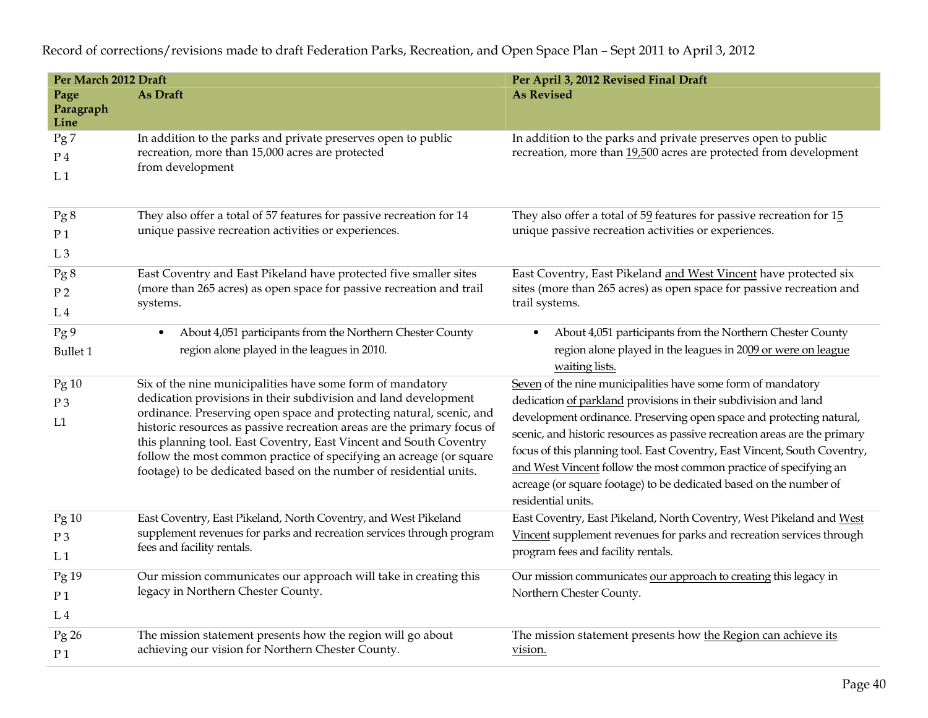**Per March 2012 Draft Per April 3, 2012 Revised Final Draft Page Paragraph Line As Draft As Revised** Pg 7 P 4  $L<sub>1</sub>$ In addition to the parks and private preserves open to public recreation, more than 15,000 acres are protected from development In addition to the parks and private preserves open to public recreation, more than 19,500 acres are protected from development Pg 8 P 1  $L<sub>3</sub>$ They also offer a total of 57 features for passive recreation for 14 unique passive recreation activities or experiences. They also offer a total of 59 features for passive recreation for 15 unique passive recreation activities or experiences. Pg 8 P 2  $L<sub>4</sub>$ East Coventry and East Pikeland have protected five smaller sites (more than 265 acres) as open space for passive recreation and trail systems. East Coventry, East Pikeland and West Vincent have protected six sites (more than 265 acres) as open space for passive recreation and trail systems. Pg 9 Bullet 1 • About 4,051 participants from the Northern Chester County region alone played in the leagues in 2010.  $\bullet$  About 4,051 participants from the Northern Chester County region alone played in the leagues in 2009 or were on league waiting lists. Pg 10 P 3 L1 Six of the nine municipalities have some form of mandatory dedication provisions in their subdivision and land development ordinance. Preserving open space and protecting natural, scenic, and historic resources as passive recreation areas are the primary focus of this planning tool. East Coventry, East Vincent and South Coventry follow the most common practice of specifying an acreage (or square footage) to be dedicated based on the number of residential units. Seven of the nine municipalities have some form of mandatory dedication of parkland provisions in their subdivision and land development ordinance. Preserving open space and protecting natural, scenic, and historic resources as passive recreation areas are the primary focus of this planning tool. East Coventry, East Vincent, South Coventry, and West Vincent follow the most common practice of specifying an acreage (or square footage) to be dedicated based on the number of residential units. Pg 10 P 3  $L<sub>1</sub>$ East Coventry, East Pikeland, North Coventry, and West Pikeland supplement revenues for parks and recreation services through program fees and facility rentals. East Coventry, East Pikeland, North Coventry, West Pikeland and West Vincent supplement revenues for parks and recreation services through program fees and facility rentals. Pg 19 P 1  $L<sub>4</sub>$ Our mission communicates our approach will take in creating this legacy in Northern Chester County. Our mission communicates our approach to creating this legacy in Northern Chester County. Pg 26 P 1 The mission statement presents how the region will go about achieving our vision for Northern Chester County. The mission statement presents how the Region can achieve its vision.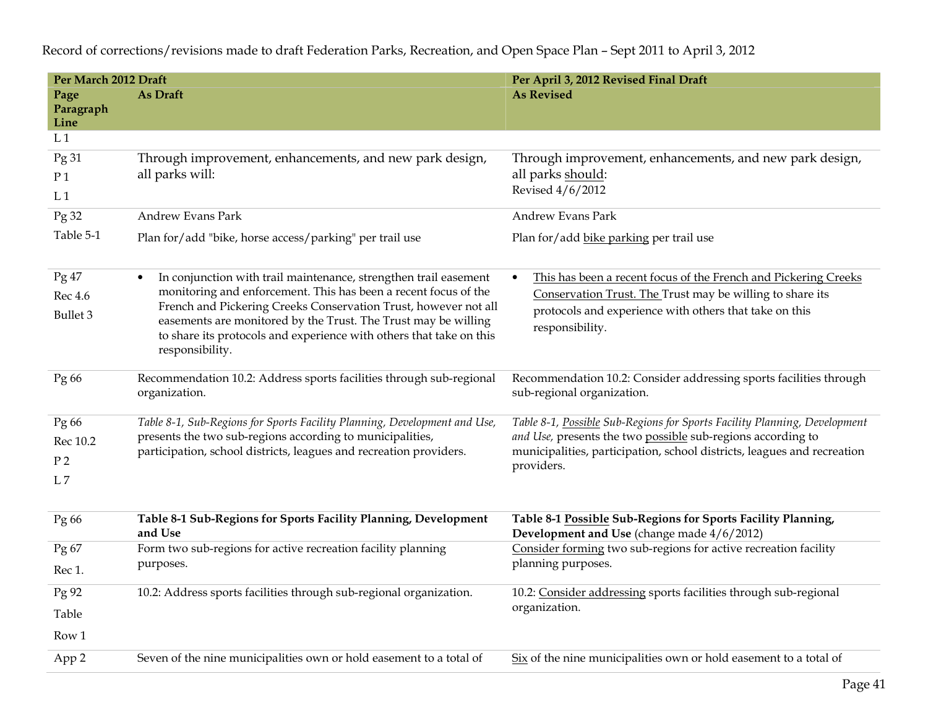| Per March 2012 Draft                |                                                                                                                                                                                                                                                                                                                                                                                 | Per April 3, 2012 Revised Final Draft                                                                                                                                                                     |  |  |  |  |  |
|-------------------------------------|---------------------------------------------------------------------------------------------------------------------------------------------------------------------------------------------------------------------------------------------------------------------------------------------------------------------------------------------------------------------------------|-----------------------------------------------------------------------------------------------------------------------------------------------------------------------------------------------------------|--|--|--|--|--|
| Page                                | As Draft                                                                                                                                                                                                                                                                                                                                                                        | <b>As Revised</b>                                                                                                                                                                                         |  |  |  |  |  |
| Paragraph<br>Line                   |                                                                                                                                                                                                                                                                                                                                                                                 |                                                                                                                                                                                                           |  |  |  |  |  |
| L <sub>1</sub>                      |                                                                                                                                                                                                                                                                                                                                                                                 |                                                                                                                                                                                                           |  |  |  |  |  |
| Pg31                                | Through improvement, enhancements, and new park design,                                                                                                                                                                                                                                                                                                                         | Through improvement, enhancements, and new park design,                                                                                                                                                   |  |  |  |  |  |
| P <sub>1</sub>                      | all parks will:                                                                                                                                                                                                                                                                                                                                                                 | all parks should:                                                                                                                                                                                         |  |  |  |  |  |
| L <sub>1</sub>                      |                                                                                                                                                                                                                                                                                                                                                                                 | Revised 4/6/2012                                                                                                                                                                                          |  |  |  |  |  |
| Pg 32                               | Andrew Evans Park                                                                                                                                                                                                                                                                                                                                                               | Andrew Evans Park                                                                                                                                                                                         |  |  |  |  |  |
| Table 5-1                           | Plan for/add "bike, horse access/parking" per trail use                                                                                                                                                                                                                                                                                                                         | Plan for/add bike parking per trail use                                                                                                                                                                   |  |  |  |  |  |
| Pg 47<br>Rec 4.6<br><b>Bullet 3</b> | In conjunction with trail maintenance, strengthen trail easement<br>$\bullet$<br>monitoring and enforcement. This has been a recent focus of the<br>French and Pickering Creeks Conservation Trust, however not all<br>easements are monitored by the Trust. The Trust may be willing<br>to share its protocols and experience with others that take on this<br>responsibility. | This has been a recent focus of the French and Pickering Creeks<br>Conservation Trust. The Trust may be willing to share its<br>protocols and experience with others that take on this<br>responsibility. |  |  |  |  |  |
| Pg 66                               | Recommendation 10.2: Address sports facilities through sub-regional<br>organization.                                                                                                                                                                                                                                                                                            | Recommendation 10.2: Consider addressing sports facilities through<br>sub-regional organization.                                                                                                          |  |  |  |  |  |
| Pg 66                               | Table 8-1, Sub-Regions for Sports Facility Planning, Development and Use,                                                                                                                                                                                                                                                                                                       | Table 8-1, Possible Sub-Regions for Sports Facility Planning, Development                                                                                                                                 |  |  |  |  |  |
| Rec 10.2                            | presents the two sub-regions according to municipalities,                                                                                                                                                                                                                                                                                                                       | and Use, presents the two possible sub-regions according to<br>municipalities, participation, school districts, leagues and recreation<br>providers.                                                      |  |  |  |  |  |
| P <sub>2</sub>                      | participation, school districts, leagues and recreation providers.                                                                                                                                                                                                                                                                                                              |                                                                                                                                                                                                           |  |  |  |  |  |
| L7                                  |                                                                                                                                                                                                                                                                                                                                                                                 |                                                                                                                                                                                                           |  |  |  |  |  |
| Pg 66                               | Table 8-1 Sub-Regions for Sports Facility Planning, Development<br>and Use                                                                                                                                                                                                                                                                                                      | Table 8-1 Possible Sub-Regions for Sports Facility Planning,<br>Development and Use (change made 4/6/2012)                                                                                                |  |  |  |  |  |
| Pg67                                | Form two sub-regions for active recreation facility planning                                                                                                                                                                                                                                                                                                                    | Consider forming two sub-regions for active recreation facility                                                                                                                                           |  |  |  |  |  |
| Rec 1.                              | purposes.                                                                                                                                                                                                                                                                                                                                                                       | planning purposes.                                                                                                                                                                                        |  |  |  |  |  |
| Pg 92                               | 10.2: Address sports facilities through sub-regional organization.                                                                                                                                                                                                                                                                                                              | 10.2: Consider addressing sports facilities through sub-regional                                                                                                                                          |  |  |  |  |  |
| Table                               |                                                                                                                                                                                                                                                                                                                                                                                 | organization.                                                                                                                                                                                             |  |  |  |  |  |
| Row 1                               |                                                                                                                                                                                                                                                                                                                                                                                 |                                                                                                                                                                                                           |  |  |  |  |  |
| App 2                               | Seven of the nine municipalities own or hold easement to a total of                                                                                                                                                                                                                                                                                                             | Six of the nine municipalities own or hold easement to a total of                                                                                                                                         |  |  |  |  |  |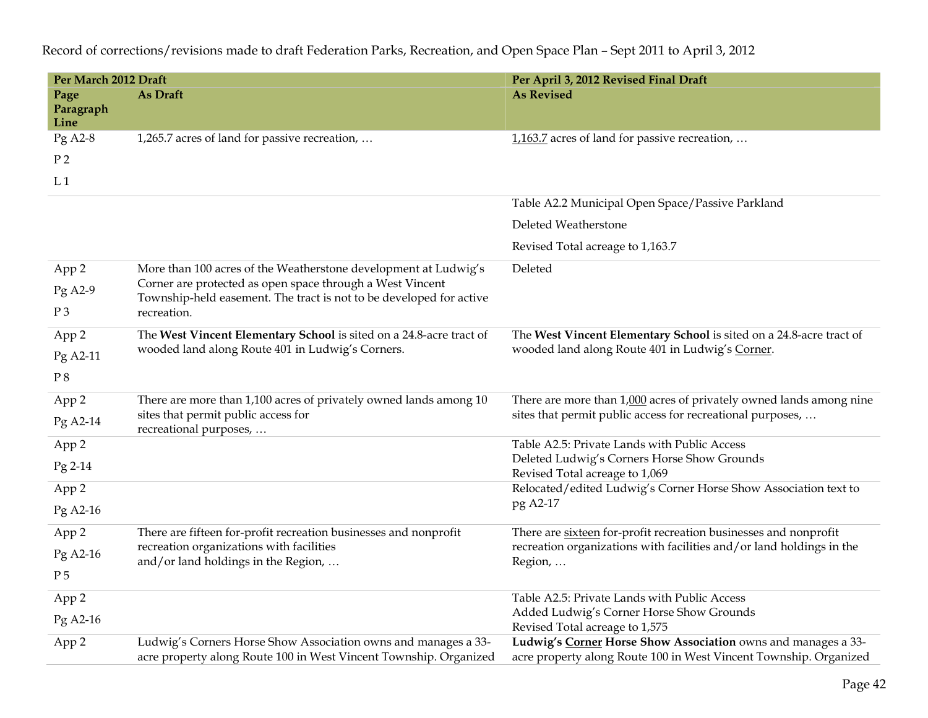| Per March 2012 Draft      |                                                                                                                                     | Per April 3, 2012 Revised Final Draft                                                                                                                                |  |  |  |  |
|---------------------------|-------------------------------------------------------------------------------------------------------------------------------------|----------------------------------------------------------------------------------------------------------------------------------------------------------------------|--|--|--|--|
| Page<br>Paragraph<br>Line | As Draft                                                                                                                            | <b>As Revised</b>                                                                                                                                                    |  |  |  |  |
| Pg A2-8                   | 1,265.7 acres of land for passive recreation,                                                                                       | 1,163.7 acres of land for passive recreation,                                                                                                                        |  |  |  |  |
| P <sub>2</sub>            |                                                                                                                                     |                                                                                                                                                                      |  |  |  |  |
| L <sub>1</sub>            |                                                                                                                                     |                                                                                                                                                                      |  |  |  |  |
|                           |                                                                                                                                     | Table A2.2 Municipal Open Space/Passive Parkland                                                                                                                     |  |  |  |  |
|                           |                                                                                                                                     | Deleted Weatherstone                                                                                                                                                 |  |  |  |  |
|                           |                                                                                                                                     | Revised Total acreage to 1,163.7                                                                                                                                     |  |  |  |  |
| App 2                     | More than 100 acres of the Weatherstone development at Ludwig's                                                                     | Deleted                                                                                                                                                              |  |  |  |  |
| Pg A2-9                   | Corner are protected as open space through a West Vincent<br>Township-held easement. The tract is not to be developed for active    |                                                                                                                                                                      |  |  |  |  |
| $P_3$                     | recreation.                                                                                                                         |                                                                                                                                                                      |  |  |  |  |
| App 2                     | The West Vincent Elementary School is sited on a 24.8-acre tract of                                                                 | The West Vincent Elementary School is sited on a 24.8-acre tract of                                                                                                  |  |  |  |  |
| Pg A2-11                  | wooded land along Route 401 in Ludwig's Corners.                                                                                    | wooded land along Route 401 in Ludwig's Corner.                                                                                                                      |  |  |  |  |
| $\mathrm{P}\,8$           |                                                                                                                                     |                                                                                                                                                                      |  |  |  |  |
| App 2                     | There are more than 1,100 acres of privately owned lands among 10                                                                   | There are more than 1,000 acres of privately owned lands among nine                                                                                                  |  |  |  |  |
| Pg A2-14                  | sites that permit public access for<br>recreational purposes,                                                                       | sites that permit public access for recreational purposes,                                                                                                           |  |  |  |  |
| App 2                     |                                                                                                                                     | Table A2.5: Private Lands with Public Access                                                                                                                         |  |  |  |  |
| Pg 2-14                   |                                                                                                                                     | Deleted Ludwig's Corners Horse Show Grounds<br>Revised Total acreage to 1,069                                                                                        |  |  |  |  |
| App 2                     |                                                                                                                                     | Relocated/edited Ludwig's Corner Horse Show Association text to                                                                                                      |  |  |  |  |
| Pg A2-16                  |                                                                                                                                     | pg A2-17                                                                                                                                                             |  |  |  |  |
|                           | There are fifteen for-profit recreation businesses and nonprofit                                                                    | There are sixteen for-profit recreation businesses and nonprofit                                                                                                     |  |  |  |  |
| App 2                     | recreation organizations with facilities                                                                                            | recreation organizations with facilities and/or land holdings in the                                                                                                 |  |  |  |  |
| Pg A2-16                  | and/or land holdings in the Region,                                                                                                 | Region,                                                                                                                                                              |  |  |  |  |
| P <sub>5</sub>            |                                                                                                                                     |                                                                                                                                                                      |  |  |  |  |
| App 2                     |                                                                                                                                     | Table A2.5: Private Lands with Public Access                                                                                                                         |  |  |  |  |
| Pg A2-16                  |                                                                                                                                     | Added Ludwig's Corner Horse Show Grounds                                                                                                                             |  |  |  |  |
| App 2                     | Ludwig's Corners Horse Show Association owns and manages a 33-<br>acre property along Route 100 in West Vincent Township. Organized | Revised Total acreage to 1,575<br>Ludwig's Corner Horse Show Association owns and manages a 33-<br>acre property along Route 100 in West Vincent Township. Organized |  |  |  |  |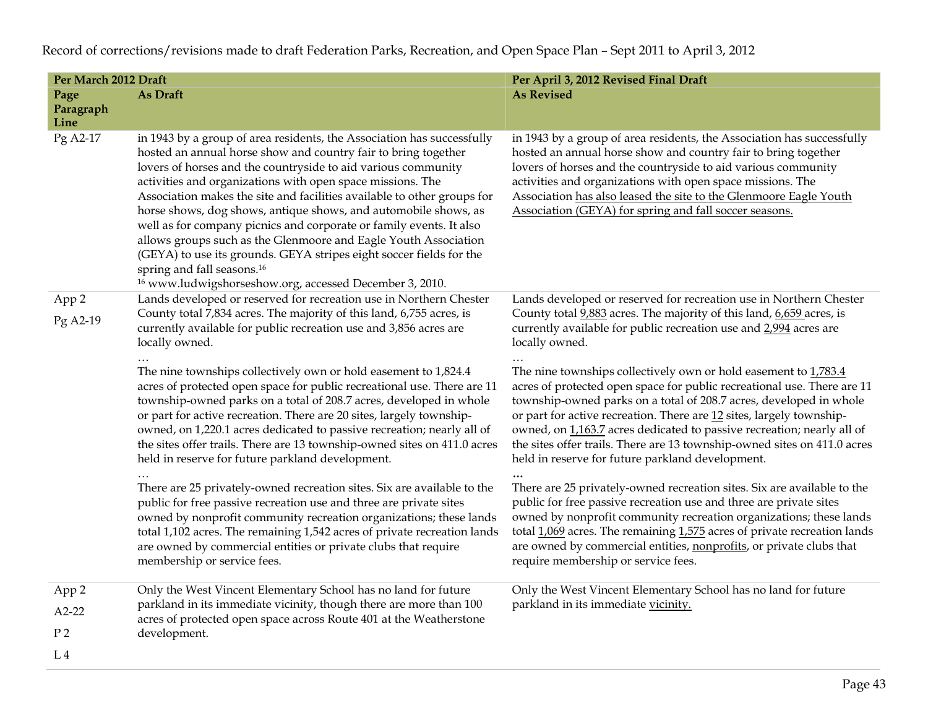| Per March 2012 Draft |                                                                                                                                                                                                                                                                                                                                                                                                                                                                                                                                                                                                                                                                                                                                                        | Per April 3, 2012 Revised Final Draft                                                                                                                                                                                                                                                                                                                                                                                                                                                                |  |  |  |
|----------------------|--------------------------------------------------------------------------------------------------------------------------------------------------------------------------------------------------------------------------------------------------------------------------------------------------------------------------------------------------------------------------------------------------------------------------------------------------------------------------------------------------------------------------------------------------------------------------------------------------------------------------------------------------------------------------------------------------------------------------------------------------------|------------------------------------------------------------------------------------------------------------------------------------------------------------------------------------------------------------------------------------------------------------------------------------------------------------------------------------------------------------------------------------------------------------------------------------------------------------------------------------------------------|--|--|--|
| Page<br>Paragraph    | As Draft                                                                                                                                                                                                                                                                                                                                                                                                                                                                                                                                                                                                                                                                                                                                               | <b>As Revised</b>                                                                                                                                                                                                                                                                                                                                                                                                                                                                                    |  |  |  |
| Line                 |                                                                                                                                                                                                                                                                                                                                                                                                                                                                                                                                                                                                                                                                                                                                                        |                                                                                                                                                                                                                                                                                                                                                                                                                                                                                                      |  |  |  |
| Pg A2-17             | in 1943 by a group of area residents, the Association has successfully<br>hosted an annual horse show and country fair to bring together<br>lovers of horses and the countryside to aid various community<br>activities and organizations with open space missions. The<br>Association makes the site and facilities available to other groups for<br>horse shows, dog shows, antique shows, and automobile shows, as<br>well as for company picnics and corporate or family events. It also<br>allows groups such as the Glenmoore and Eagle Youth Association<br>(GEYA) to use its grounds. GEYA stripes eight soccer fields for the<br>spring and fall seasons. <sup>16</sup><br><sup>16</sup> www.ludwigshorseshow.org, accessed December 3, 2010. | in 1943 by a group of area residents, the Association has successfully<br>hosted an annual horse show and country fair to bring together<br>lovers of horses and the countryside to aid various community<br>activities and organizations with open space missions. The<br>Association has also leased the site to the Glenmoore Eagle Youth<br>Association (GEYA) for spring and fall soccer seasons.                                                                                               |  |  |  |
| App 2                | Lands developed or reserved for recreation use in Northern Chester                                                                                                                                                                                                                                                                                                                                                                                                                                                                                                                                                                                                                                                                                     | Lands developed or reserved for recreation use in Northern Chester                                                                                                                                                                                                                                                                                                                                                                                                                                   |  |  |  |
| Pg A2-19             | County total 7,834 acres. The majority of this land, 6,755 acres, is<br>currently available for public recreation use and 3,856 acres are<br>locally owned.                                                                                                                                                                                                                                                                                                                                                                                                                                                                                                                                                                                            | County total 9,883 acres. The majority of this land, 6,659 acres, is<br>currently available for public recreation use and 2,994 acres are<br>locally owned.                                                                                                                                                                                                                                                                                                                                          |  |  |  |
|                      | The nine townships collectively own or hold easement to 1,824.4<br>acres of protected open space for public recreational use. There are 11<br>township-owned parks on a total of 208.7 acres, developed in whole<br>or part for active recreation. There are 20 sites, largely township-<br>owned, on 1,220.1 acres dedicated to passive recreation; nearly all of<br>the sites offer trails. There are 13 township-owned sites on 411.0 acres<br>held in reserve for future parkland development.                                                                                                                                                                                                                                                     | The nine townships collectively own or hold easement to $1,783.4$<br>acres of protected open space for public recreational use. There are 11<br>township-owned parks on a total of 208.7 acres, developed in whole<br>or part for active recreation. There are 12 sites, largely township-<br>owned, on 1,163.7 acres dedicated to passive recreation; nearly all of<br>the sites offer trails. There are 13 township-owned sites on 411.0 acres<br>held in reserve for future parkland development. |  |  |  |
|                      | There are 25 privately-owned recreation sites. Six are available to the<br>public for free passive recreation use and three are private sites<br>owned by nonprofit community recreation organizations; these lands<br>total 1,102 acres. The remaining 1,542 acres of private recreation lands<br>are owned by commercial entities or private clubs that require<br>membership or service fees.                                                                                                                                                                                                                                                                                                                                                       | There are 25 privately-owned recreation sites. Six are available to the<br>public for free passive recreation use and three are private sites<br>owned by nonprofit community recreation organizations; these lands<br>total $1,069$ acres. The remaining $1,575$ acres of private recreation lands<br>are owned by commercial entities, nonprofits, or private clubs that<br>require membership or service fees.                                                                                    |  |  |  |
| App 2                | Only the West Vincent Elementary School has no land for future                                                                                                                                                                                                                                                                                                                                                                                                                                                                                                                                                                                                                                                                                         | Only the West Vincent Elementary School has no land for future                                                                                                                                                                                                                                                                                                                                                                                                                                       |  |  |  |
| $A2-22$              | parkland in its immediate vicinity, though there are more than 100<br>acres of protected open space across Route 401 at the Weatherstone                                                                                                                                                                                                                                                                                                                                                                                                                                                                                                                                                                                                               | parkland in its immediate vicinity.                                                                                                                                                                                                                                                                                                                                                                                                                                                                  |  |  |  |
| P <sub>2</sub>       | development.                                                                                                                                                                                                                                                                                                                                                                                                                                                                                                                                                                                                                                                                                                                                           |                                                                                                                                                                                                                                                                                                                                                                                                                                                                                                      |  |  |  |
| L4                   |                                                                                                                                                                                                                                                                                                                                                                                                                                                                                                                                                                                                                                                                                                                                                        |                                                                                                                                                                                                                                                                                                                                                                                                                                                                                                      |  |  |  |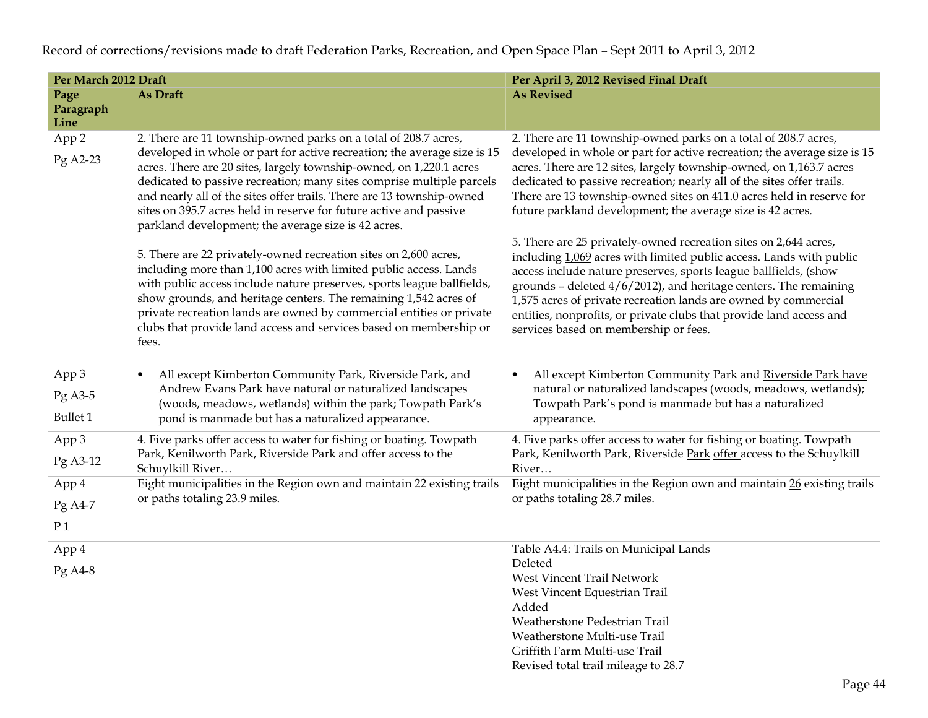| Per March 2012 Draft |                                                                                                                                                                                                                                                                                                                                                                                                                                            | Per April 3, 2012 Revised Final Draft                                                                                                                                                                                                                                                                                                                                                                                                                                 |  |  |  |
|----------------------|--------------------------------------------------------------------------------------------------------------------------------------------------------------------------------------------------------------------------------------------------------------------------------------------------------------------------------------------------------------------------------------------------------------------------------------------|-----------------------------------------------------------------------------------------------------------------------------------------------------------------------------------------------------------------------------------------------------------------------------------------------------------------------------------------------------------------------------------------------------------------------------------------------------------------------|--|--|--|
| Page                 | As Draft                                                                                                                                                                                                                                                                                                                                                                                                                                   | <b>As Revised</b>                                                                                                                                                                                                                                                                                                                                                                                                                                                     |  |  |  |
| Paragraph            |                                                                                                                                                                                                                                                                                                                                                                                                                                            |                                                                                                                                                                                                                                                                                                                                                                                                                                                                       |  |  |  |
| Line                 |                                                                                                                                                                                                                                                                                                                                                                                                                                            |                                                                                                                                                                                                                                                                                                                                                                                                                                                                       |  |  |  |
| App 2                | 2. There are 11 township-owned parks on a total of 208.7 acres,                                                                                                                                                                                                                                                                                                                                                                            | 2. There are 11 township-owned parks on a total of 208.7 acres,                                                                                                                                                                                                                                                                                                                                                                                                       |  |  |  |
| Pg A2-23             | developed in whole or part for active recreation; the average size is 15<br>acres. There are 20 sites, largely township-owned, on 1,220.1 acres<br>dedicated to passive recreation; many sites comprise multiple parcels<br>and nearly all of the sites offer trails. There are 13 township-owned<br>sites on 395.7 acres held in reserve for future active and passive<br>parkland development; the average size is 42 acres.             | developed in whole or part for active recreation; the average size is 15<br>acres. There are 12 sites, largely township-owned, on 1,163.7 acres<br>dedicated to passive recreation; nearly all of the sites offer trails.<br>There are 13 township-owned sites on 411.0 acres held in reserve for<br>future parkland development; the average size is 42 acres.                                                                                                       |  |  |  |
|                      | 5. There are 22 privately-owned recreation sites on 2,600 acres,<br>including more than 1,100 acres with limited public access. Lands<br>with public access include nature preserves, sports league ballfields,<br>show grounds, and heritage centers. The remaining 1,542 acres of<br>private recreation lands are owned by commercial entities or private<br>clubs that provide land access and services based on membership or<br>fees. | 5. There are 25 privately-owned recreation sites on 2,644 acres,<br>including 1,069 acres with limited public access. Lands with public<br>access include nature preserves, sports league ballfields, (show<br>grounds - deleted $4/6/2012$ ), and heritage centers. The remaining<br>1,575 acres of private recreation lands are owned by commercial<br>entities, nonprofits, or private clubs that provide land access and<br>services based on membership or fees. |  |  |  |
| App 3                | All except Kimberton Community Park, Riverside Park, and<br>$\bullet$                                                                                                                                                                                                                                                                                                                                                                      | All except Kimberton Community Park and Riverside Park have                                                                                                                                                                                                                                                                                                                                                                                                           |  |  |  |
| $Pg$ A3-5            | Andrew Evans Park have natural or naturalized landscapes                                                                                                                                                                                                                                                                                                                                                                                   | natural or naturalized landscapes (woods, meadows, wetlands);                                                                                                                                                                                                                                                                                                                                                                                                         |  |  |  |
|                      | (woods, meadows, wetlands) within the park; Towpath Park's                                                                                                                                                                                                                                                                                                                                                                                 | Towpath Park's pond is manmade but has a naturalized                                                                                                                                                                                                                                                                                                                                                                                                                  |  |  |  |
| <b>Bullet 1</b>      | pond is manmade but has a naturalized appearance.                                                                                                                                                                                                                                                                                                                                                                                          | appearance.                                                                                                                                                                                                                                                                                                                                                                                                                                                           |  |  |  |
| App 3                | 4. Five parks offer access to water for fishing or boating. Towpath                                                                                                                                                                                                                                                                                                                                                                        | 4. Five parks offer access to water for fishing or boating. Towpath                                                                                                                                                                                                                                                                                                                                                                                                   |  |  |  |
| Pg A3-12             | Park, Kenilworth Park, Riverside Park and offer access to the                                                                                                                                                                                                                                                                                                                                                                              | Park, Kenilworth Park, Riverside Park offer access to the Schuylkill                                                                                                                                                                                                                                                                                                                                                                                                  |  |  |  |
|                      | Schuylkill River                                                                                                                                                                                                                                                                                                                                                                                                                           | River                                                                                                                                                                                                                                                                                                                                                                                                                                                                 |  |  |  |
| App 4                | Eight municipalities in the Region own and maintain 22 existing trails                                                                                                                                                                                                                                                                                                                                                                     | Eight municipalities in the Region own and maintain 26 existing trails                                                                                                                                                                                                                                                                                                                                                                                                |  |  |  |
| Pg A4-7              | or paths totaling 23.9 miles.                                                                                                                                                                                                                                                                                                                                                                                                              | or paths totaling 28.7 miles.                                                                                                                                                                                                                                                                                                                                                                                                                                         |  |  |  |
| P <sub>1</sub>       |                                                                                                                                                                                                                                                                                                                                                                                                                                            |                                                                                                                                                                                                                                                                                                                                                                                                                                                                       |  |  |  |
| App 4                |                                                                                                                                                                                                                                                                                                                                                                                                                                            | Table A4.4: Trails on Municipal Lands                                                                                                                                                                                                                                                                                                                                                                                                                                 |  |  |  |
| Pg A4-8              |                                                                                                                                                                                                                                                                                                                                                                                                                                            | Deleted                                                                                                                                                                                                                                                                                                                                                                                                                                                               |  |  |  |
|                      |                                                                                                                                                                                                                                                                                                                                                                                                                                            | West Vincent Trail Network                                                                                                                                                                                                                                                                                                                                                                                                                                            |  |  |  |
|                      |                                                                                                                                                                                                                                                                                                                                                                                                                                            | West Vincent Equestrian Trail<br>Added                                                                                                                                                                                                                                                                                                                                                                                                                                |  |  |  |
|                      |                                                                                                                                                                                                                                                                                                                                                                                                                                            | Weatherstone Pedestrian Trail                                                                                                                                                                                                                                                                                                                                                                                                                                         |  |  |  |
|                      |                                                                                                                                                                                                                                                                                                                                                                                                                                            | Weatherstone Multi-use Trail                                                                                                                                                                                                                                                                                                                                                                                                                                          |  |  |  |
|                      |                                                                                                                                                                                                                                                                                                                                                                                                                                            | Griffith Farm Multi-use Trail                                                                                                                                                                                                                                                                                                                                                                                                                                         |  |  |  |
|                      |                                                                                                                                                                                                                                                                                                                                                                                                                                            | Revised total trail mileage to 28.7                                                                                                                                                                                                                                                                                                                                                                                                                                   |  |  |  |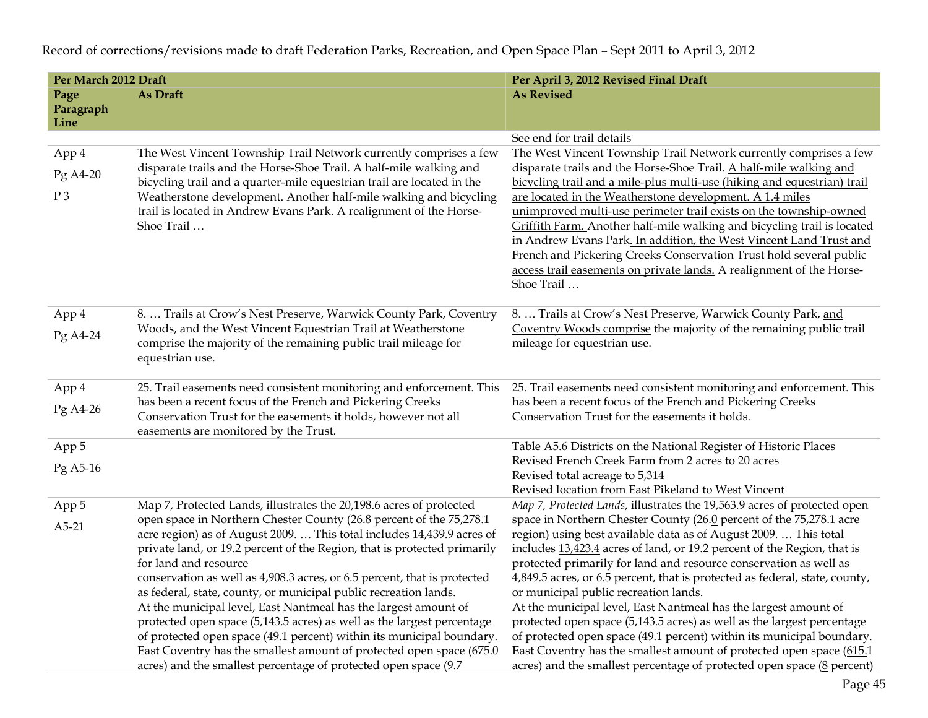| Per March 2012 Draft |                                                                                                   | Per April 3, 2012 Revised Final Draft                                                                                         |  |  |  |  |
|----------------------|---------------------------------------------------------------------------------------------------|-------------------------------------------------------------------------------------------------------------------------------|--|--|--|--|
| Page                 | As Draft                                                                                          | <b>As Revised</b>                                                                                                             |  |  |  |  |
| Paragraph            |                                                                                                   |                                                                                                                               |  |  |  |  |
| Line                 |                                                                                                   |                                                                                                                               |  |  |  |  |
|                      |                                                                                                   | See end for trail details                                                                                                     |  |  |  |  |
| App 4                | The West Vincent Township Trail Network currently comprises a few                                 | The West Vincent Township Trail Network currently comprises a few                                                             |  |  |  |  |
| Pg A4-20             | disparate trails and the Horse-Shoe Trail. A half-mile walking and                                | disparate trails and the Horse-Shoe Trail. A half-mile walking and                                                            |  |  |  |  |
|                      | bicycling trail and a quarter-mile equestrian trail are located in the                            | bicycling trail and a mile-plus multi-use (hiking and equestrian) trail                                                       |  |  |  |  |
| $P_3$                | Weatherstone development. Another half-mile walking and bicycling                                 | are located in the Weatherstone development. A 1.4 miles<br>unimproved multi-use perimeter trail exists on the township-owned |  |  |  |  |
|                      | trail is located in Andrew Evans Park. A realignment of the Horse-<br>Shoe Trail                  | Griffith Farm. Another half-mile walking and bicycling trail is located                                                       |  |  |  |  |
|                      |                                                                                                   | in Andrew Evans Park. In addition, the West Vincent Land Trust and                                                            |  |  |  |  |
|                      |                                                                                                   | French and Pickering Creeks Conservation Trust hold several public                                                            |  |  |  |  |
|                      |                                                                                                   | access trail easements on private lands. A realignment of the Horse-                                                          |  |  |  |  |
|                      |                                                                                                   | Shoe Trail                                                                                                                    |  |  |  |  |
|                      |                                                                                                   |                                                                                                                               |  |  |  |  |
| App 4                | 8.  Trails at Crow's Nest Preserve, Warwick County Park, Coventry                                 | 8.  Trails at Crow's Nest Preserve, Warwick County Park, and                                                                  |  |  |  |  |
| Pg A4-24             | Woods, and the West Vincent Equestrian Trail at Weatherstone                                      | Coventry Woods comprise the majority of the remaining public trail                                                            |  |  |  |  |
|                      | comprise the majority of the remaining public trail mileage for                                   | mileage for equestrian use.                                                                                                   |  |  |  |  |
|                      | equestrian use.                                                                                   |                                                                                                                               |  |  |  |  |
|                      | 25. Trail easements need consistent monitoring and enforcement. This                              | 25. Trail easements need consistent monitoring and enforcement. This                                                          |  |  |  |  |
| App 4                | has been a recent focus of the French and Pickering Creeks                                        | has been a recent focus of the French and Pickering Creeks                                                                    |  |  |  |  |
| Pg A4-26             | Conservation Trust for the easements it holds, however not all                                    | Conservation Trust for the easements it holds.                                                                                |  |  |  |  |
|                      | easements are monitored by the Trust.                                                             |                                                                                                                               |  |  |  |  |
| App 5                |                                                                                                   | Table A5.6 Districts on the National Register of Historic Places                                                              |  |  |  |  |
| Pg A5-16             |                                                                                                   | Revised French Creek Farm from 2 acres to 20 acres                                                                            |  |  |  |  |
|                      |                                                                                                   | Revised total acreage to 5,314                                                                                                |  |  |  |  |
|                      |                                                                                                   | Revised location from East Pikeland to West Vincent                                                                           |  |  |  |  |
| App 5                | Map 7, Protected Lands, illustrates the 20,198.6 acres of protected                               | Map 7, Protected Lands, illustrates the 19,563.9 acres of protected open                                                      |  |  |  |  |
| $A5-21$              | open space in Northern Chester County (26.8 percent of the 75,278.1                               | space in Northern Chester County (26.0 percent of the 75,278.1 acre                                                           |  |  |  |  |
|                      | acre region) as of August 2009.  This total includes 14,439.9 acres of                            | region) using best available data as of August 2009.  This total                                                              |  |  |  |  |
|                      | private land, or 19.2 percent of the Region, that is protected primarily                          | includes 13,423.4 acres of land, or 19.2 percent of the Region, that is                                                       |  |  |  |  |
|                      | for land and resource<br>conservation as well as 4,908.3 acres, or 6.5 percent, that is protected | protected primarily for land and resource conservation as well as                                                             |  |  |  |  |
|                      | as federal, state, county, or municipal public recreation lands.                                  | 4,849.5 acres, or 6.5 percent, that is protected as federal, state, county,<br>or municipal public recreation lands.          |  |  |  |  |
|                      | At the municipal level, East Nantmeal has the largest amount of                                   | At the municipal level, East Nantmeal has the largest amount of                                                               |  |  |  |  |
|                      | protected open space (5,143.5 acres) as well as the largest percentage                            | protected open space (5,143.5 acres) as well as the largest percentage                                                        |  |  |  |  |
|                      | of protected open space (49.1 percent) within its municipal boundary.                             | of protected open space (49.1 percent) within its municipal boundary.                                                         |  |  |  |  |
|                      | East Coventry has the smallest amount of protected open space (675.0                              | East Coventry has the smallest amount of protected open space (615.1)                                                         |  |  |  |  |
|                      | acres) and the smallest percentage of protected open space (9.7                                   | acres) and the smallest percentage of protected open space $(8$ percent)                                                      |  |  |  |  |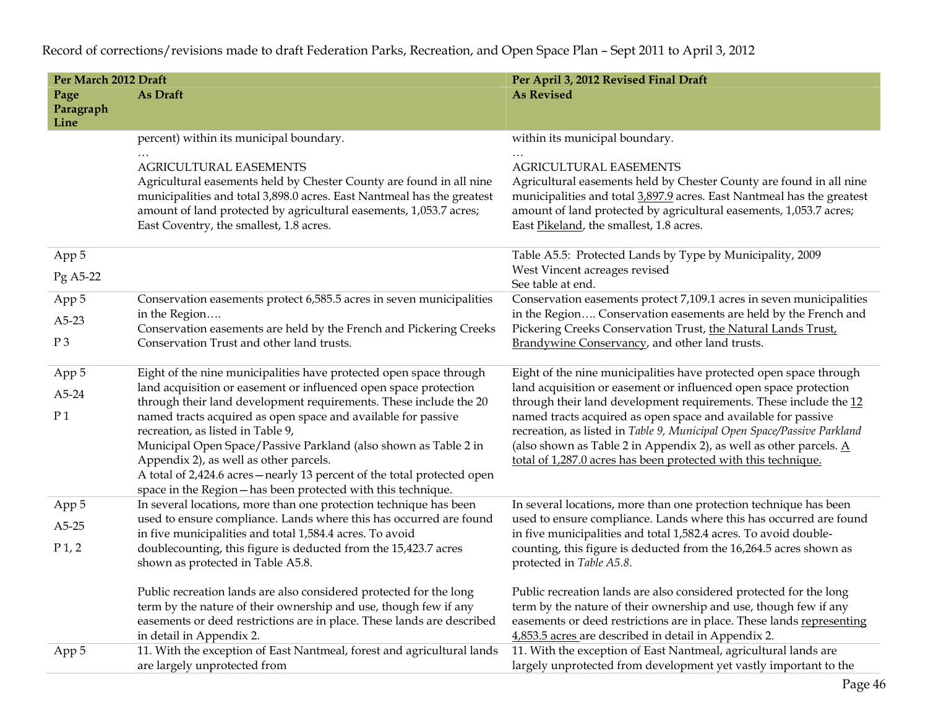| <b>As Revised</b><br>As Draft<br>Page                                                                                                                                                                                                                                               |                                                                                                                                  |  |  |  |  |
|-------------------------------------------------------------------------------------------------------------------------------------------------------------------------------------------------------------------------------------------------------------------------------------|----------------------------------------------------------------------------------------------------------------------------------|--|--|--|--|
|                                                                                                                                                                                                                                                                                     |                                                                                                                                  |  |  |  |  |
| Paragraph<br>Line                                                                                                                                                                                                                                                                   |                                                                                                                                  |  |  |  |  |
| percent) within its municipal boundary.<br>within its municipal boundary.                                                                                                                                                                                                           |                                                                                                                                  |  |  |  |  |
| $\ddotsc$                                                                                                                                                                                                                                                                           |                                                                                                                                  |  |  |  |  |
| AGRICULTURAL EASEMENTS<br>AGRICULTURAL EASEMENTS                                                                                                                                                                                                                                    |                                                                                                                                  |  |  |  |  |
| Agricultural easements held by Chester County are found in all nine<br>Agricultural easements held by Chester County are found in all nine                                                                                                                                          |                                                                                                                                  |  |  |  |  |
| municipalities and total 3,898.0 acres. East Nantmeal has the greatest<br>municipalities and total 3,897.9 acres. East Nantmeal has the greatest                                                                                                                                    |                                                                                                                                  |  |  |  |  |
| amount of land protected by agricultural easements, 1,053.7 acres;<br>amount of land protected by agricultural easements, 1,053.7 acres;<br>East Coventry, the smallest, 1.8 acres.<br>East Pikeland, the smallest, 1.8 acres.                                                      |                                                                                                                                  |  |  |  |  |
|                                                                                                                                                                                                                                                                                     |                                                                                                                                  |  |  |  |  |
| App 5<br>Table A5.5: Protected Lands by Type by Municipality, 2009                                                                                                                                                                                                                  |                                                                                                                                  |  |  |  |  |
| West Vincent acreages revised<br>Pg A5-22                                                                                                                                                                                                                                           |                                                                                                                                  |  |  |  |  |
| See table at end.                                                                                                                                                                                                                                                                   |                                                                                                                                  |  |  |  |  |
| Conservation easements protect 7,109.1 acres in seven municipalities<br>Conservation easements protect 6,585.5 acres in seven municipalities<br>App 5                                                                                                                               |                                                                                                                                  |  |  |  |  |
| in the Region<br>$A5-23$<br>Conservation easements are held by the French and Pickering Creeks                                                                                                                                                                                      | in the Region Conservation easements are held by the French and<br>Pickering Creeks Conservation Trust, the Natural Lands Trust, |  |  |  |  |
| P <sub>3</sub><br>Conservation Trust and other land trusts.                                                                                                                                                                                                                         | Brandywine Conservancy, and other land trusts.                                                                                   |  |  |  |  |
|                                                                                                                                                                                                                                                                                     |                                                                                                                                  |  |  |  |  |
| Eight of the nine municipalities have protected open space through<br>Eight of the nine municipalities have protected open space through<br>App 5                                                                                                                                   |                                                                                                                                  |  |  |  |  |
| land acquisition or easement or influenced open space protection<br>land acquisition or easement or influenced open space protection<br>A5-24                                                                                                                                       |                                                                                                                                  |  |  |  |  |
| through their land development requirements. These include the 20<br>through their land development requirements. These include the 12<br>P <sub>1</sub>                                                                                                                            |                                                                                                                                  |  |  |  |  |
| named tracts acquired as open space and available for passive<br>named tracts acquired as open space and available for passive<br>recreation, as listed in Table 9, Municipal Open Space/Passive Parkland<br>recreation, as listed in Table 9,                                      |                                                                                                                                  |  |  |  |  |
| (also shown as Table 2 in Appendix 2), as well as other parcels. $\underline{A}$<br>Municipal Open Space/Passive Parkland (also shown as Table 2 in                                                                                                                                 |                                                                                                                                  |  |  |  |  |
| Appendix 2), as well as other parcels.<br>total of 1,287.0 acres has been protected with this technique.                                                                                                                                                                            |                                                                                                                                  |  |  |  |  |
| A total of 2,424.6 acres - nearly 13 percent of the total protected open                                                                                                                                                                                                            |                                                                                                                                  |  |  |  |  |
| space in the Region-has been protected with this technique.                                                                                                                                                                                                                         |                                                                                                                                  |  |  |  |  |
| In several locations, more than one protection technique has been<br>In several locations, more than one protection technique has been<br>App 5                                                                                                                                     |                                                                                                                                  |  |  |  |  |
| used to ensure compliance. Lands where this has occurred are found<br>used to ensure compliance. Lands where this has occurred are found<br>$A5-25$<br>in five municipalities and total 1,584.4 acres. To avoid<br>in five municipalities and total 1,582.4 acres. To avoid double- |                                                                                                                                  |  |  |  |  |
| P <sub>1</sub> , 2<br>doublecounting, this figure is deducted from the 15,423.7 acres<br>counting, this figure is deducted from the 16,264.5 acres shown as                                                                                                                         |                                                                                                                                  |  |  |  |  |
| shown as protected in Table A5.8.<br>protected in Table A5.8.                                                                                                                                                                                                                       |                                                                                                                                  |  |  |  |  |
|                                                                                                                                                                                                                                                                                     |                                                                                                                                  |  |  |  |  |
| Public recreation lands are also considered protected for the long<br>Public recreation lands are also considered protected for the long                                                                                                                                            |                                                                                                                                  |  |  |  |  |
| term by the nature of their ownership and use, though few if any<br>term by the nature of their ownership and use, though few if any                                                                                                                                                |                                                                                                                                  |  |  |  |  |
| easements or deed restrictions are in place. These lands are described<br>easements or deed restrictions are in place. These lands representing                                                                                                                                     |                                                                                                                                  |  |  |  |  |
| in detail in Appendix 2.<br>4,853.5 acres are described in detail in Appendix 2.<br>11. With the exception of East Nantmeal, forest and agricultural lands<br>11. With the exception of East Nantmeal, agricultural lands are<br>App 5                                              |                                                                                                                                  |  |  |  |  |
| are largely unprotected from<br>largely unprotected from development yet vastly important to the                                                                                                                                                                                    |                                                                                                                                  |  |  |  |  |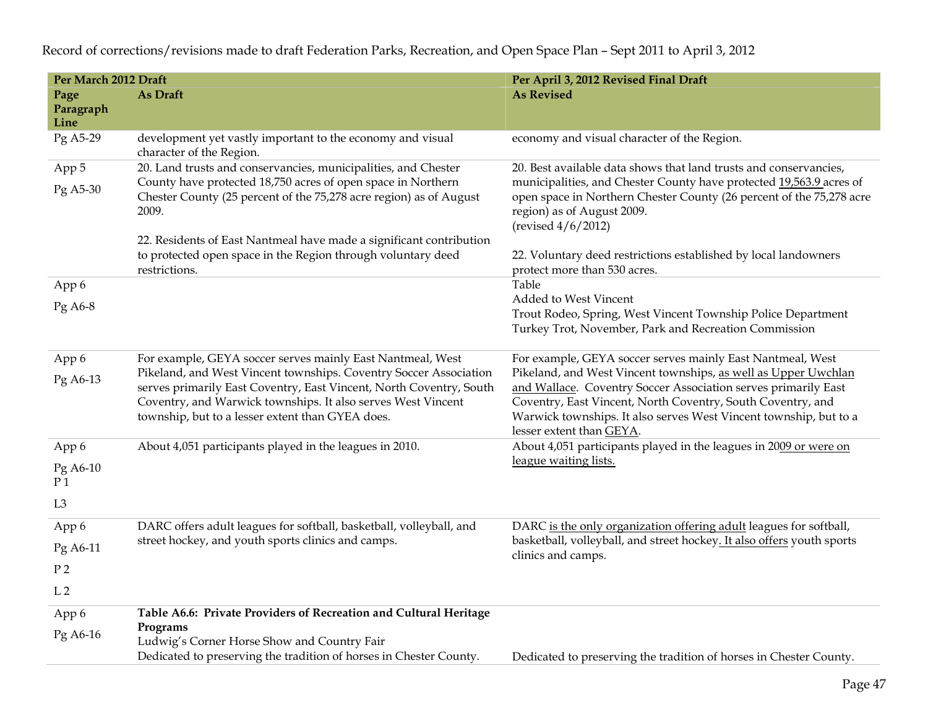| Per March 2012 Draft       |                                                                                                                                                                                                                                                                                                                            | Per April 3, 2012 Revised Final Draft                                                                                                                                                                                                                                                                                                                          |  |  |  |  |
|----------------------------|----------------------------------------------------------------------------------------------------------------------------------------------------------------------------------------------------------------------------------------------------------------------------------------------------------------------------|----------------------------------------------------------------------------------------------------------------------------------------------------------------------------------------------------------------------------------------------------------------------------------------------------------------------------------------------------------------|--|--|--|--|
| Page<br>Paragraph<br>Line  | As Draft                                                                                                                                                                                                                                                                                                                   | <b>As Revised</b>                                                                                                                                                                                                                                                                                                                                              |  |  |  |  |
| Pg A5-29                   | development yet vastly important to the economy and visual<br>character of the Region.                                                                                                                                                                                                                                     | economy and visual character of the Region.                                                                                                                                                                                                                                                                                                                    |  |  |  |  |
| App 5<br>Pg A5-30          | 20. Land trusts and conservancies, municipalities, and Chester<br>County have protected 18,750 acres of open space in Northern<br>Chester County (25 percent of the 75,278 acre region) as of August<br>2009.<br>22. Residents of East Nantmeal have made a significant contribution                                       | 20. Best available data shows that land trusts and conservancies,<br>municipalities, and Chester County have protected 19,563.9 acres of<br>open space in Northern Chester County (26 percent of the 75,278 acre<br>region) as of August 2009.<br>(revised $4/6/2012$ )                                                                                        |  |  |  |  |
|                            | to protected open space in the Region through voluntary deed<br>restrictions.                                                                                                                                                                                                                                              | 22. Voluntary deed restrictions established by local landowners<br>protect more than 530 acres.                                                                                                                                                                                                                                                                |  |  |  |  |
| App 6                      |                                                                                                                                                                                                                                                                                                                            | Table                                                                                                                                                                                                                                                                                                                                                          |  |  |  |  |
| Pg A6-8                    |                                                                                                                                                                                                                                                                                                                            | Added to West Vincent<br>Trout Rodeo, Spring, West Vincent Township Police Department<br>Turkey Trot, November, Park and Recreation Commission                                                                                                                                                                                                                 |  |  |  |  |
| App 6<br>Pg A6-13          | For example, GEYA soccer serves mainly East Nantmeal, West<br>Pikeland, and West Vincent townships. Coventry Soccer Association<br>serves primarily East Coventry, East Vincent, North Coventry, South<br>Coventry, and Warwick townships. It also serves West Vincent<br>township, but to a lesser extent than GYEA does. | For example, GEYA soccer serves mainly East Nantmeal, West<br>Pikeland, and West Vincent townships, as well as Upper Uwchlan<br>and Wallace. Coventry Soccer Association serves primarily East<br>Coventry, East Vincent, North Coventry, South Coventry, and<br>Warwick townships. It also serves West Vincent township, but to a<br>lesser extent than GEYA. |  |  |  |  |
| App 6                      | About 4,051 participants played in the leagues in 2010.                                                                                                                                                                                                                                                                    | About 4,051 participants played in the leagues in 2009 or were on                                                                                                                                                                                                                                                                                              |  |  |  |  |
| Pg A6-10<br>P <sub>1</sub> |                                                                                                                                                                                                                                                                                                                            | league waiting lists.                                                                                                                                                                                                                                                                                                                                          |  |  |  |  |
| L <sub>3</sub>             |                                                                                                                                                                                                                                                                                                                            |                                                                                                                                                                                                                                                                                                                                                                |  |  |  |  |
| App 6                      | DARC offers adult leagues for softball, basketball, volleyball, and                                                                                                                                                                                                                                                        | DARC is the only organization offering adult leagues for softball,                                                                                                                                                                                                                                                                                             |  |  |  |  |
| Pg A6-11                   | street hockey, and youth sports clinics and camps.                                                                                                                                                                                                                                                                         | basketball, volleyball, and street hockey. It also offers youth sports<br>clinics and camps.                                                                                                                                                                                                                                                                   |  |  |  |  |
| P <sub>2</sub>             |                                                                                                                                                                                                                                                                                                                            |                                                                                                                                                                                                                                                                                                                                                                |  |  |  |  |
| L <sub>2</sub>             |                                                                                                                                                                                                                                                                                                                            |                                                                                                                                                                                                                                                                                                                                                                |  |  |  |  |
| App 6<br>Pg A6-16          | Table A6.6: Private Providers of Recreation and Cultural Heritage<br>Programs<br>Ludwig's Corner Horse Show and Country Fair                                                                                                                                                                                               |                                                                                                                                                                                                                                                                                                                                                                |  |  |  |  |
|                            | Dedicated to preserving the tradition of horses in Chester County.                                                                                                                                                                                                                                                         | Dedicated to preserving the tradition of horses in Chester County.                                                                                                                                                                                                                                                                                             |  |  |  |  |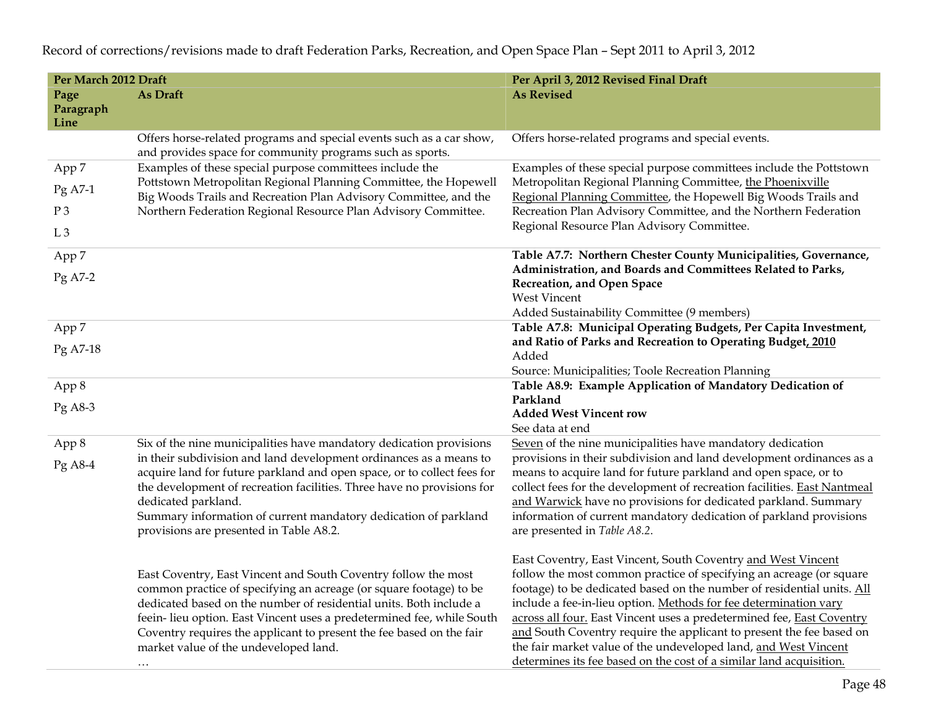| Per March 2012 Draft                     |                                                                                                                                                                                                                                                                                                                                                                                                                  | Per April 3, 2012 Revised Final Draft                                                                                                                                                                                                                                                                                                                                                                                                                                                                                                                                        |  |  |  |  |
|------------------------------------------|------------------------------------------------------------------------------------------------------------------------------------------------------------------------------------------------------------------------------------------------------------------------------------------------------------------------------------------------------------------------------------------------------------------|------------------------------------------------------------------------------------------------------------------------------------------------------------------------------------------------------------------------------------------------------------------------------------------------------------------------------------------------------------------------------------------------------------------------------------------------------------------------------------------------------------------------------------------------------------------------------|--|--|--|--|
| Page<br>Paragraph<br>Line                | As Draft                                                                                                                                                                                                                                                                                                                                                                                                         | <b>As Revised</b>                                                                                                                                                                                                                                                                                                                                                                                                                                                                                                                                                            |  |  |  |  |
|                                          | Offers horse-related programs and special events such as a car show,<br>and provides space for community programs such as sports.                                                                                                                                                                                                                                                                                | Offers horse-related programs and special events.                                                                                                                                                                                                                                                                                                                                                                                                                                                                                                                            |  |  |  |  |
| App 7<br>Pg A7-1<br>P3<br>L <sub>3</sub> | Examples of these special purpose committees include the<br>Pottstown Metropolitan Regional Planning Committee, the Hopewell<br>Big Woods Trails and Recreation Plan Advisory Committee, and the<br>Northern Federation Regional Resource Plan Advisory Committee.                                                                                                                                               | Examples of these special purpose committees include the Pottstown<br>Metropolitan Regional Planning Committee, the Phoenixville<br>Regional Planning Committee, the Hopewell Big Woods Trails and<br>Recreation Plan Advisory Committee, and the Northern Federation<br>Regional Resource Plan Advisory Committee.                                                                                                                                                                                                                                                          |  |  |  |  |
| App 7<br>$Pg$ A7-2                       |                                                                                                                                                                                                                                                                                                                                                                                                                  | Table A7.7: Northern Chester County Municipalities, Governance,<br>Administration, and Boards and Committees Related to Parks,<br>Recreation, and Open Space<br><b>West Vincent</b><br>Added Sustainability Committee (9 members)                                                                                                                                                                                                                                                                                                                                            |  |  |  |  |
| App 7                                    |                                                                                                                                                                                                                                                                                                                                                                                                                  | Table A7.8: Municipal Operating Budgets, Per Capita Investment,                                                                                                                                                                                                                                                                                                                                                                                                                                                                                                              |  |  |  |  |
| Pg A7-18                                 |                                                                                                                                                                                                                                                                                                                                                                                                                  | and Ratio of Parks and Recreation to Operating Budget, 2010<br>Added<br>Source: Municipalities; Toole Recreation Planning                                                                                                                                                                                                                                                                                                                                                                                                                                                    |  |  |  |  |
| App 8                                    |                                                                                                                                                                                                                                                                                                                                                                                                                  | Table A8.9: Example Application of Mandatory Dedication of                                                                                                                                                                                                                                                                                                                                                                                                                                                                                                                   |  |  |  |  |
| $Pg$ A8-3                                |                                                                                                                                                                                                                                                                                                                                                                                                                  | Parkland<br><b>Added West Vincent row</b><br>See data at end                                                                                                                                                                                                                                                                                                                                                                                                                                                                                                                 |  |  |  |  |
| App 8                                    | Six of the nine municipalities have mandatory dedication provisions                                                                                                                                                                                                                                                                                                                                              | Seven of the nine municipalities have mandatory dedication                                                                                                                                                                                                                                                                                                                                                                                                                                                                                                                   |  |  |  |  |
| $Pg$ A8-4                                | in their subdivision and land development ordinances as a means to<br>acquire land for future parkland and open space, or to collect fees for<br>the development of recreation facilities. Three have no provisions for<br>dedicated parkland.<br>Summary information of current mandatory dedication of parkland<br>provisions are presented in Table A8.2.                                                     | provisions in their subdivision and land development ordinances as a<br>means to acquire land for future parkland and open space, or to<br>collect fees for the development of recreation facilities. East Nantmeal<br>and Warwick have no provisions for dedicated parkland. Summary<br>information of current mandatory dedication of parkland provisions<br>are presented in Table A8.2.                                                                                                                                                                                  |  |  |  |  |
|                                          | East Coventry, East Vincent and South Coventry follow the most<br>common practice of specifying an acreage (or square footage) to be<br>dedicated based on the number of residential units. Both include a<br>feein-lieu option. East Vincent uses a predetermined fee, while South<br>Coventry requires the applicant to present the fee based on the fair<br>market value of the undeveloped land.<br>$\cdots$ | East Coventry, East Vincent, South Coventry and West Vincent<br>follow the most common practice of specifying an acreage (or square<br>footage) to be dedicated based on the number of residential units. All<br>include a fee-in-lieu option. Methods for fee determination vary<br>across all four. East Vincent uses a predetermined fee, East Coventry<br>and South Coventry require the applicant to present the fee based on<br>the fair market value of the undeveloped land, and West Vincent<br>determines its fee based on the cost of a similar land acquisition. |  |  |  |  |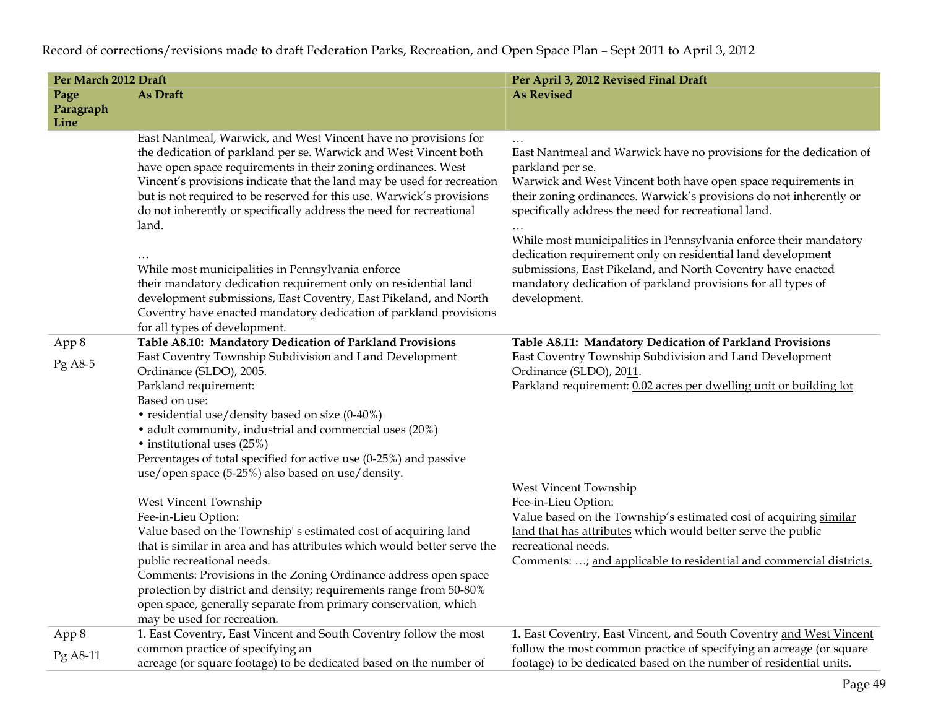| Per March 2012 Draft      |                                                                                                                                                                                                                                                                                                                                                                                                                                                                                                                                                                                                                                                                                                          | Per April 3, 2012 Revised Final Draft                                                                                                                                                                                                                                                                                                                                                                                                                                                                                                                                    |  |  |  |  |
|---------------------------|----------------------------------------------------------------------------------------------------------------------------------------------------------------------------------------------------------------------------------------------------------------------------------------------------------------------------------------------------------------------------------------------------------------------------------------------------------------------------------------------------------------------------------------------------------------------------------------------------------------------------------------------------------------------------------------------------------|--------------------------------------------------------------------------------------------------------------------------------------------------------------------------------------------------------------------------------------------------------------------------------------------------------------------------------------------------------------------------------------------------------------------------------------------------------------------------------------------------------------------------------------------------------------------------|--|--|--|--|
| Page<br>Paragraph<br>Line | As Draft                                                                                                                                                                                                                                                                                                                                                                                                                                                                                                                                                                                                                                                                                                 | <b>As Revised</b>                                                                                                                                                                                                                                                                                                                                                                                                                                                                                                                                                        |  |  |  |  |
|                           | East Nantmeal, Warwick, and West Vincent have no provisions for<br>the dedication of parkland per se. Warwick and West Vincent both<br>have open space requirements in their zoning ordinances. West<br>Vincent's provisions indicate that the land may be used for recreation<br>but is not required to be reserved for this use. Warwick's provisions<br>do not inherently or specifically address the need for recreational<br>land.<br>While most municipalities in Pennsylvania enforce<br>their mandatory dedication requirement only on residential land<br>development submissions, East Coventry, East Pikeland, and North<br>Coventry have enacted mandatory dedication of parkland provisions | East Nantmeal and Warwick have no provisions for the dedication of<br>parkland per se.<br>Warwick and West Vincent both have open space requirements in<br>their zoning ordinances. Warwick's provisions do not inherently or<br>specifically address the need for recreational land.<br>While most municipalities in Pennsylvania enforce their mandatory<br>dedication requirement only on residential land development<br>submissions, East Pikeland, and North Coventry have enacted<br>mandatory dedication of parkland provisions for all types of<br>development. |  |  |  |  |
| App 8<br>$Pg$ A8-5        | for all types of development.<br>Table A8.10: Mandatory Dedication of Parkland Provisions<br>East Coventry Township Subdivision and Land Development<br>Ordinance (SLDO), 2005.<br>Parkland requirement:<br>Based on use:<br>• residential use/density based on size (0-40%)<br>• adult community, industrial and commercial uses (20%)<br>• institutional uses (25%)<br>Percentages of total specified for active use (0-25%) and passive<br>use/open space (5-25%) also based on use/density.                                                                                                                                                                                                          | Table A8.11: Mandatory Dedication of Parkland Provisions<br>East Coventry Township Subdivision and Land Development<br>Ordinance (SLDO), 2011.<br>Parkland requirement: 0.02 acres per dwelling unit or building lot                                                                                                                                                                                                                                                                                                                                                     |  |  |  |  |
|                           | West Vincent Township<br>Fee-in-Lieu Option:<br>Value based on the Township's estimated cost of acquiring land<br>that is similar in area and has attributes which would better serve the<br>public recreational needs.<br>Comments: Provisions in the Zoning Ordinance address open space<br>protection by district and density; requirements range from 50-80%<br>open space, generally separate from primary conservation, which<br>may be used for recreation.                                                                                                                                                                                                                                       | West Vincent Township<br>Fee-in-Lieu Option:<br>Value based on the Township's estimated cost of acquiring similar<br>land that has attributes which would better serve the public<br>recreational needs.<br>Comments: ; and applicable to residential and commercial districts.                                                                                                                                                                                                                                                                                          |  |  |  |  |
| App 8                     | 1. East Coventry, East Vincent and South Coventry follow the most<br>common practice of specifying an                                                                                                                                                                                                                                                                                                                                                                                                                                                                                                                                                                                                    | 1. East Coventry, East Vincent, and South Coventry and West Vincent                                                                                                                                                                                                                                                                                                                                                                                                                                                                                                      |  |  |  |  |
| Pg A8-11                  | acreage (or square footage) to be dedicated based on the number of                                                                                                                                                                                                                                                                                                                                                                                                                                                                                                                                                                                                                                       | follow the most common practice of specifying an acreage (or square<br>footage) to be dedicated based on the number of residential units.                                                                                                                                                                                                                                                                                                                                                                                                                                |  |  |  |  |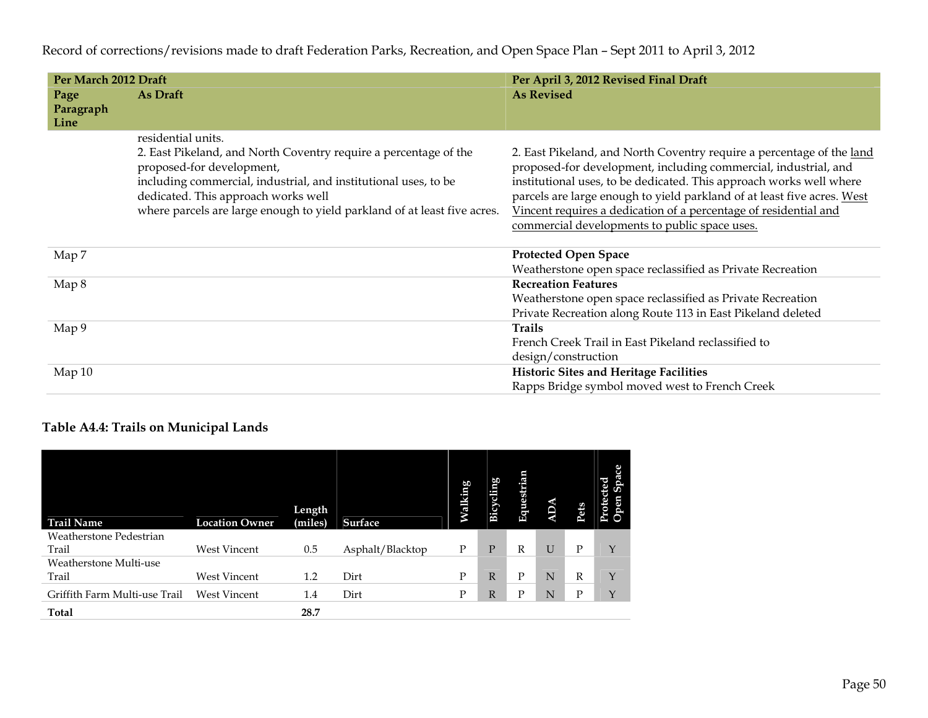| Per March 2012 Draft      |                                                                                                                                                                                                                                                                                                           | Per April 3, 2012 Revised Final Draft                                                                                                                                                                                                                                                                                                                                                                           |
|---------------------------|-----------------------------------------------------------------------------------------------------------------------------------------------------------------------------------------------------------------------------------------------------------------------------------------------------------|-----------------------------------------------------------------------------------------------------------------------------------------------------------------------------------------------------------------------------------------------------------------------------------------------------------------------------------------------------------------------------------------------------------------|
| Page<br>Paragraph<br>Line | As Draft                                                                                                                                                                                                                                                                                                  | <b>As Revised</b>                                                                                                                                                                                                                                                                                                                                                                                               |
|                           | residential units.<br>2. East Pikeland, and North Coventry require a percentage of the<br>proposed-for development,<br>including commercial, industrial, and institutional uses, to be<br>dedicated. This approach works well<br>where parcels are large enough to yield parkland of at least five acres. | 2. East Pikeland, and North Coventry require a percentage of the land<br>proposed-for development, including commercial, industrial, and<br>institutional uses, to be dedicated. This approach works well where<br>parcels are large enough to yield parkland of at least five acres. West<br>Vincent requires a dedication of a percentage of residential and<br>commercial developments to public space uses. |
| Map 7                     |                                                                                                                                                                                                                                                                                                           | <b>Protected Open Space</b><br>Weatherstone open space reclassified as Private Recreation                                                                                                                                                                                                                                                                                                                       |
| Map 8                     |                                                                                                                                                                                                                                                                                                           | <b>Recreation Features</b><br>Weatherstone open space reclassified as Private Recreation<br>Private Recreation along Route 113 in East Pikeland deleted                                                                                                                                                                                                                                                         |
| Map 9                     |                                                                                                                                                                                                                                                                                                           | <b>Trails</b><br>French Creek Trail in East Pikeland reclassified to<br>design/construction                                                                                                                                                                                                                                                                                                                     |
| Map 10                    |                                                                                                                                                                                                                                                                                                           | <b>Historic Sites and Heritage Facilities</b><br>Rapps Bridge symbol moved west to French Creek                                                                                                                                                                                                                                                                                                                 |

## **Table A4.4: Trails on Municipal Lands**

| <b>Trail Name</b>             | <b>Location Owner</b> | Length<br>(miles) | <b>Surface</b>   | Valking | Bicycling | Equestrian | $\mathbf{Q}$ | Pets | ted<br>Protect<br>geo |
|-------------------------------|-----------------------|-------------------|------------------|---------|-----------|------------|--------------|------|-----------------------|
| Weatherstone Pedestrian       |                       |                   |                  |         |           |            |              |      |                       |
| Trail                         | West Vincent          | 0.5               | Asphalt/Blacktop | Ρ       | P         | R          | U            | Р    | Y                     |
| Weatherstone Multi-use        |                       |                   |                  |         |           |            |              |      |                       |
| Trail                         | <b>West Vincent</b>   | 1.2               | Dirt             | P       | R.        | P          | N            | R    | Y                     |
| Griffith Farm Multi-use Trail | <b>West Vincent</b>   | 1.4               | Dirt             | P       | R         | Ρ          | N            | Ρ    | Υ                     |
| <b>Total</b>                  |                       | 28.7              |                  |         |           |            |              |      |                       |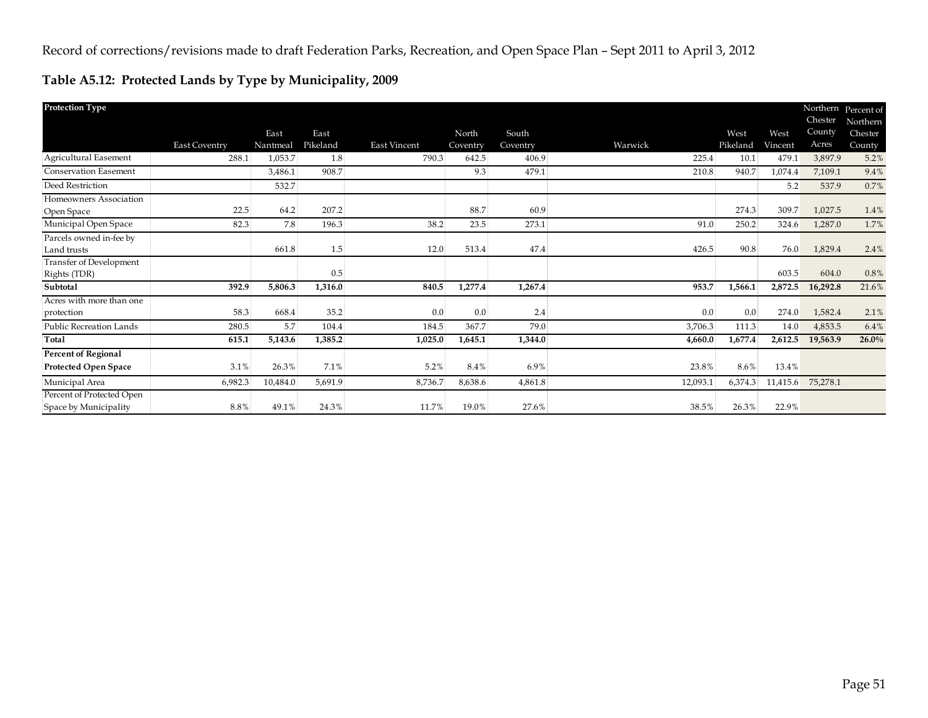## **Table A5.12: Protected Lands by Type by Municipality, 2009**

| <b>Protection Type</b>                             |               |          |          |              |          |          |          |          |          | Chester  | Northern Percent of<br>Northern |
|----------------------------------------------------|---------------|----------|----------|--------------|----------|----------|----------|----------|----------|----------|---------------------------------|
|                                                    |               | East     | East     |              | North    | South    |          | West     | West     | County   | Chester                         |
|                                                    | East Coventry | Nantmeal | Pikeland | East Vincent | Coventry | Coventry | Warwick  | Pikeland | Vincent  | Acres    | County                          |
| Agricultural Easement                              | 288.1         | 1,053.7  | 1.8      | 790.3        | 642.5    | 406.9    | 225.4    | 10.1     | 479.1    | 3,897.9  | 5.2%                            |
| <b>Conservation Easement</b>                       |               | 3,486.1  | 908.7    |              | 9.3      | 479.1    | 210.8    | 940.7    | 1,074.4  | 7,109.1  | 9.4%                            |
| Deed Restriction                                   |               | 532.7    |          |              |          |          |          |          | 5.2      | 537.9    | 0.7%                            |
| Homeowners Association                             |               |          |          |              |          |          |          |          |          |          |                                 |
| Open Space                                         | 22.5          | 64.2     | 207.2    |              | 88.7     | 60.9     |          | 274.3    | 309.7    | 1,027.5  | 1.4%                            |
| Municipal Open Space                               | 82.3          | 7.8      | 196.3    | 38.2         | 23.5     | 273.1    | 91.0     | 250.2    | 324.6    | 1,287.0  | 1.7%                            |
| Parcels owned in-fee by<br>Land trusts             |               | 661.8    | 1.5      | 12.0         | 513.4    | 47.4     | 426.5    | 90.8     | 76.0     | 1,829.4  | 2.4%                            |
| Transfer of Development<br>Rights (TDR)            |               |          | 0.5      |              |          |          |          |          | 603.5    | 604.0    | 0.8%                            |
| Subtotal                                           | 392.9         | 5,806.3  | 1,316.0  | 840.5        | 1,277.4  | 1,267.4  | 953.7    | 1,566.1  | 2,872.5  | 16,292.8 | 21.6%                           |
| Acres with more than one<br>protection             | 58.3          | 668.4    | 35.2     | 0.0          | 0.0      | 2.4      | 0.0      | 0.0      | 274.0    | 1,582.4  | 2.1%                            |
| Public Recreation Lands                            | 280.5         | 5.7      | 104.4    | 184.5        | 367.7    | 79.0     | 3,706.3  | 111.3    | 14.0     | 4,853.5  | 6.4%                            |
| Total                                              | 615.1         | 5,143.6  | 1,385.2  | 1,025.0      | 1,645.1  | 1,344.0  | 4,660.0  | 1,677.4  | 2,612.5  | 19,563.9 | 26.0%                           |
| <b>Percent of Regional</b>                         |               |          |          |              |          |          |          |          |          |          |                                 |
| Protected Open Space                               | 3.1%          | 26.3%    | 7.1%     | 5.2%         | 8.4%     | 6.9%     | 23.8%    | 8.6%     | 13.4%    |          |                                 |
| Municipal Area                                     | 6,982.3       | 10,484.0 | 5,691.9  | 8,736.7      | 8,638.6  | 4,861.8  | 12,093.1 | 6,374.3  | 11,415.6 | 75,278.1 |                                 |
| Percent of Protected Open<br>Space by Municipality | 8.8%          | 49.1%    | 24.3%    | 11.7%        | 19.0%    | 27.6%    | 38.5%    | 26.3%    | 22.9%    |          |                                 |